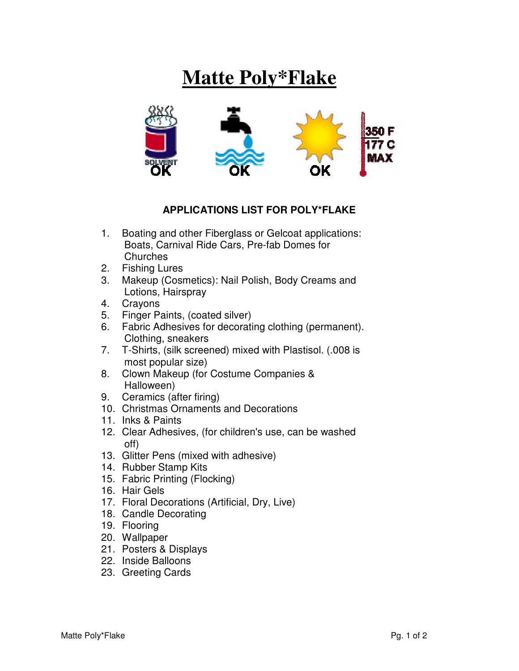## **Matte Poly\*Flake**



## **APPLICATIONS LIST FOR POLY\*FLAKE**

- 1. Boating and other Fiberglass or Gelcoat applications: Boats, Carnival Ride Cars, Pre-fab Domes for **Churches**
- 2. Fishing Lures
- 3. Makeup (Cosmetics): Nail Polish, Body Creams and Lotions, Hairspray
- 4. Crayons
- 5. Finger Paints, (coated silver)
- 6. Fabric Adhesives for decorating clothing (permanent). Clothing, sneakers
- 7. T-Shirts, (silk screened) mixed with Plastisol. (.008 is most popular size)
- 8. Clown Makeup (for Costume Companies & Halloween)
- 9. Ceramics (after firing)
- 10. Christmas Ornaments and Decorations
- 11. Inks & Paints
- 12. Clear Adhesives, (for children's use, can be washed off)
- 13. Glitter Pens (mixed with adhesive)
- 14. Rubber Stamp Kits
- 15. Fabric Printing (Flocking)
- 16. Hair Gels
- 17. Floral Decorations (Artificial, Dry, Live)
- 18. Candle Decorating
- 19. Flooring
- 20. Wallpaper
- 21. Posters & Displays
- 22. Inside Balloons
- 23. Greeting Cards